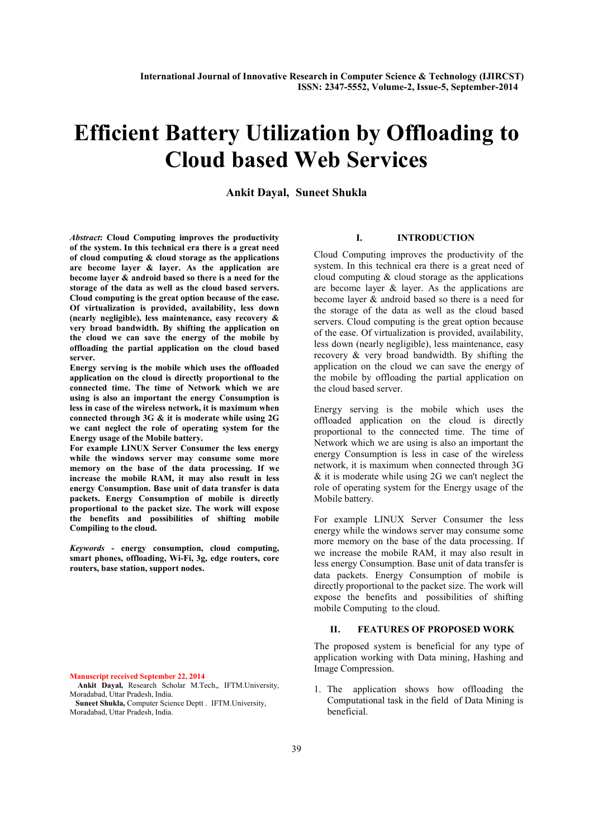# Efficient Battery Utilization by Offloading to Cloud based Web Services

Ankit Dayal, Suneet Shukla

*Abstract*: Cloud Computing improves the productivity of the system. In this technical era there is a great need of cloud computing  $&$  cloud storage as the applications are become layer & layer. As the application are become layer & android based so there is a need for the storage of the data as well as the cloud based servers. Cloud computing is the great option because of the ease. Of virtualization is provided, availability, less down (nearly negligible), less maintenance, easy recovery & very broad bandwidth. By shifting the application on the cloud we can save the energy of the mobile by offloading the partial application on the cloud based server.

Energy serving is the mobile which uses the offloaded application on the cloud is directly proportional to the connected time. The time of Network which we are using is also an important the energy Consumption is less in case of the wireless network, it is maximum when connected through 3G & it is moderate while using 2G we cant neglect the role of operating system for the Energy usage of the Mobile battery.

For example LINUX Server Consumer the less energy while the windows server may consume some more memory on the base of the data processing. If we increase the mobile RAM, it may also result in less energy Consumption. Base unit of data transfer is data packets. Energy Consumption of mobile is directly proportional to the packet size. The work will expose the benefits and possibilities of shifting mobile Compiling to the cloud.

*Keywords* - energy consumption, cloud computing, smart phones, offloading, Wi-Fi, 3g, edge routers, core routers, base station, support nodes.

Manuscript received September 22, 2014

Ankit Dayal, Research Scholar M.Tech,, IFTM.University, Moradabad, Uttar Pradesh, India.

#### I. INTRODUCTION

Cloud Computing improves the productivity of the system. In this technical era there is a great need of cloud computing  $&$  cloud storage as the applications are become layer & layer. As the applications are become layer  $\&$  android based so there is a need for the storage of the data as well as the cloud based servers. Cloud computing is the great option because of the ease. Of virtualization is provided, availability, less down (nearly negligible), less maintenance, easy recovery & very broad bandwidth. By shifting the application on the cloud we can save the energy of the mobile by offloading the partial application on the cloud based server.

Energy serving is the mobile which uses the offloaded application on the cloud is directly proportional to the connected time. The time of Network which we are using is also an important the energy Consumption is less in case of the wireless network, it is maximum when connected through 3G & it is moderate while using 2G we can't neglect the role of operating system for the Energy usage of the Mobile battery.

For example LINUX Server Consumer the less energy while the windows server may consume some more memory on the base of the data processing. If we increase the mobile RAM, it may also result in less energy Consumption. Base unit of data transfer is data packets. Energy Consumption of mobile is directly proportional to the packet size. The work will expose the benefits and possibilities of shifting mobile Computing to the cloud.

# II. FEATURES OF PROPOSED WORK

The proposed system is beneficial for any type of application working with Data mining, Hashing and Image Compression.

1. The application shows how offloading the Computational task in the field of Data Mining is beneficial.

Suneet Shukla, Computer Science Deptt . IFTM.University, Moradabad, Uttar Pradesh, India.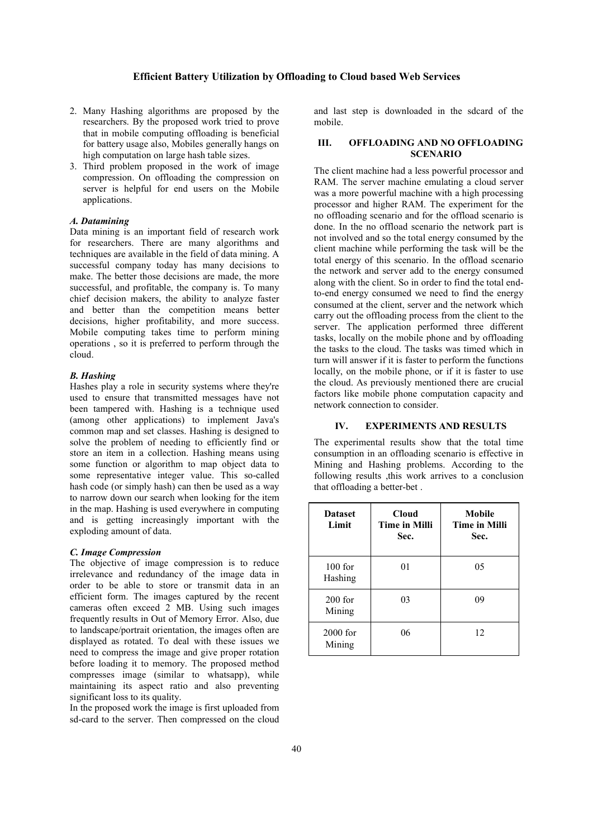- 2. Many Hashing algorithms are proposed by the researchers. By the proposed work tried to prove that in mobile computing offloading is beneficial for battery usage also, Mobiles generally hangs on high computation on large hash table sizes.
- 3. Third problem proposed in the work of image compression. On offloading the compression on server is helpful for end users on the Mobile applications.

# *A. Datamining*

Data mining is an important field of research work for researchers. There are many algorithms and techniques are available in the field of data mining. A successful company today has many decisions to make. The better those decisions are made, the more successful, and profitable, the company is. To many chief decision makers, the ability to analyze faster and better than the competition means better decisions, higher profitability, and more success. Mobile computing takes time to perform mining operations , so it is preferred to perform through the cloud.

# *B. Hashing*

Hashes play a role in security systems where they're used to ensure that transmitted messages have not been tampered with. Hashing is a technique used (among other applications) to implement Java's common map and set classes. Hashing is designed to solve the problem of needing to efficiently find or store an item in a collection. Hashing means using some function or algorithm to map object data to some representative integer value. This so-called hash code (or simply hash) can then be used as a way to narrow down our search when looking for the item in the map. Hashing is used everywhere in computing and is getting increasingly important with the exploding amount of data.

#### *C. Image Compression*

The objective of image compression is to reduce irrelevance and redundancy of the image data in order to be able to store or transmit data in an efficient form. The images captured by the recent cameras often exceed 2 MB. Using such images frequently results in Out of Memory Error. Also, due to landscape/portrait orientation, the images often are displayed as rotated. To deal with these issues we need to compress the image and give proper rotation before loading it to memory. The proposed method compresses image (similar to whatsapp), while maintaining its aspect ratio and also preventing significant loss to its quality.

In the proposed work the image is first uploaded from sd-card to the server. Then compressed on the cloud and last step is downloaded in the sdcard of the mobile.

# III. OFFLOADING AND NO OFFLOADING SCENARIO

The client machine had a less powerful processor and RAM. The server machine emulating a cloud server was a more powerful machine with a high processing processor and higher RAM. The experiment for the no offloading scenario and for the offload scenario is done. In the no offload scenario the network part is not involved and so the total energy consumed by the client machine while performing the task will be the total energy of this scenario. In the offload scenario the network and server add to the energy consumed along with the client. So in order to find the total endto-end energy consumed we need to find the energy consumed at the client, server and the network which carry out the offloading process from the client to the server. The application performed three different tasks, locally on the mobile phone and by offloading the tasks to the cloud. The tasks was timed which in turn will answer if it is faster to perform the functions locally, on the mobile phone, or if it is faster to use the cloud. As previously mentioned there are crucial factors like mobile phone computation capacity and network connection to consider.

#### IV. EXPERIMENTS AND RESULTS

The experimental results show that the total time consumption in an offloading scenario is effective in Mining and Hashing problems. According to the following results ,this work arrives to a conclusion that offloading a better-bet .

| <b>Dataset</b><br>Limit | Cloud<br><b>Time in Milli</b><br>Sec. | Mobile<br><b>Time in Milli</b><br>Sec. |
|-------------------------|---------------------------------------|----------------------------------------|
| $100$ for<br>Hashing    | 01                                    | 05                                     |
| $200$ for<br>Mining     | 03                                    | 09                                     |
| $2000$ for<br>Mining    | 06                                    | 12                                     |